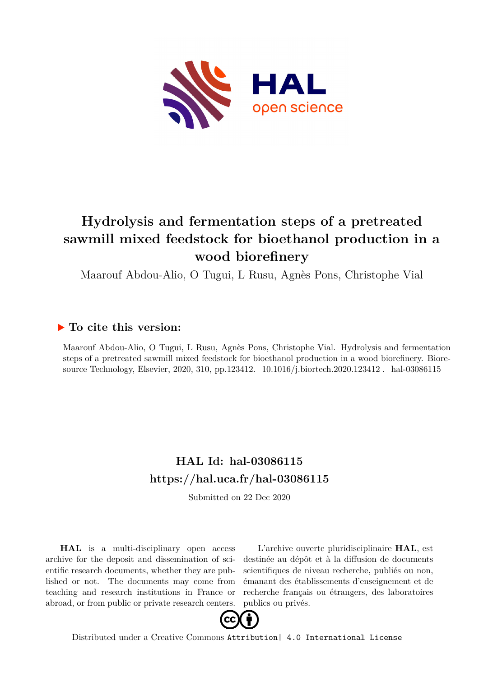

# **Hydrolysis and fermentation steps of a pretreated sawmill mixed feedstock for bioethanol production in a wood biorefinery**

Maarouf Abdou-Alio, O Tugui, L Rusu, Agnès Pons, Christophe Vial

# **To cite this version:**

Maarouf Abdou-Alio, O Tugui, L Rusu, Agnès Pons, Christophe Vial. Hydrolysis and fermentation steps of a pretreated sawmill mixed feedstock for bioethanol production in a wood biorefinery. Bioresource Technology, Elsevier, 2020, 310, pp.123412. 10.1016/j.biortech.2020.123412. hal-03086115

# **HAL Id: hal-03086115 <https://hal.uca.fr/hal-03086115>**

Submitted on 22 Dec 2020

**HAL** is a multi-disciplinary open access archive for the deposit and dissemination of scientific research documents, whether they are published or not. The documents may come from teaching and research institutions in France or abroad, or from public or private research centers.

L'archive ouverte pluridisciplinaire **HAL**, est destinée au dépôt et à la diffusion de documents scientifiques de niveau recherche, publiés ou non, émanant des établissements d'enseignement et de recherche français ou étrangers, des laboratoires publics ou privés.



Distributed under a Creative Commons [Attribution| 4.0 International License](http://creativecommons.org/licenses/by/4.0/)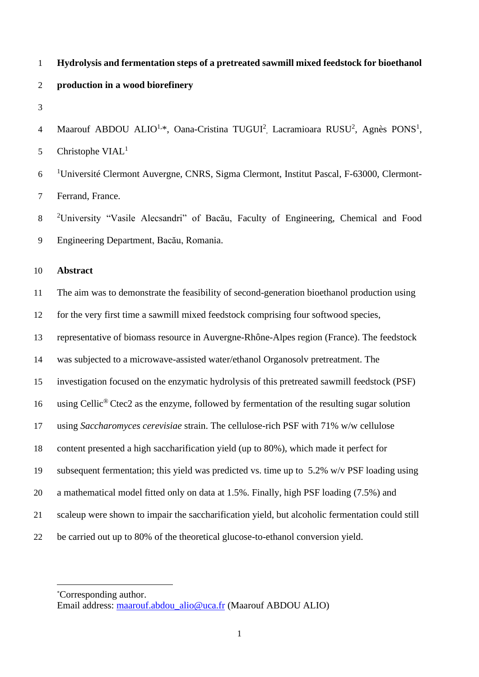# **Hydrolysis and fermentation steps of a pretreated sawmill mixed feedstock for bioethanol production in a wood biorefinery**

4 Maarouf ABDOU ALIO<sup>1,\*</sup>, Oana-Cristina TUGUI<sup>2</sup>, Lacramioara RUSU<sup>2</sup>, Agnès PONS<sup>1</sup>, Christophe  $VIAL<sup>1</sup>$ 

6 <sup>1</sup>Université Clermont Auvergne, CNRS, Sigma Clermont, Institut Pascal, F-63000, Clermont-Ferrand, France.

8 <sup>2</sup>University "Vasile Alecsandri" of Bacău, Faculty of Engineering, Chemical and Food Engineering Department, Bacău, Romania.

## **Abstract**

 The aim was to demonstrate the feasibility of second-generation bioethanol production using for the very first time a sawmill mixed feedstock comprising four softwood species,

representative of biomass resource in Auvergne-Rhône-Alpes region (France). The feedstock

- was subjected to a microwave-assisted water/ethanol Organosolv pretreatment. The
- investigation focused on the enzymatic hydrolysis of this pretreated sawmill feedstock (PSF)

16 using Cellic<sup>®</sup> Ctec2 as the enzyme, followed by fermentation of the resulting sugar solution

- using *Saccharomyces cerevisiae* strain. The cellulose-rich PSF with 71% w/w cellulose
- content presented a high saccharification yield (up to 80%), which made it perfect for
- subsequent fermentation; this yield was predicted vs. time up to 5.2% w/v PSF loading using
- a mathematical model fitted only on data at 1.5%. Finally, high PSF loading (7.5%) and
- scaleup were shown to impair the saccharification yield, but alcoholic fermentation could still
- be carried out up to 80% of the theoretical glucose-to-ethanol conversion yield.

<sup>\*</sup>Corresponding author.

Email address: [maarouf.abdou\\_alio@uca.fr](mailto:maarouf.abdou_alio@uca.frmmm) (Maarouf ABDOU ALIO)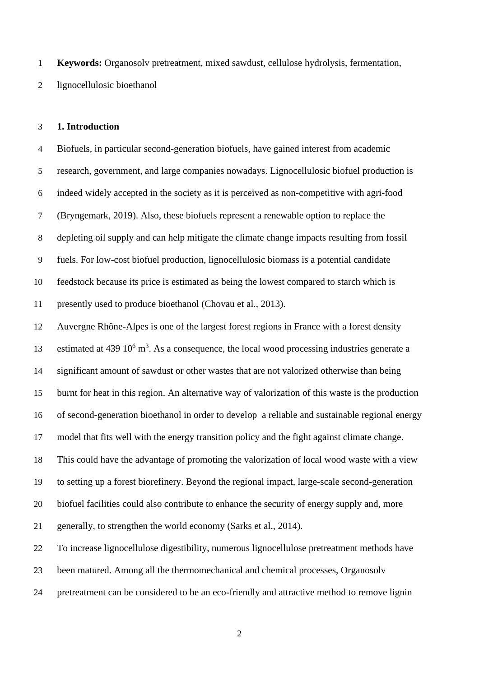**Keywords:** Organosolv pretreatment, mixed sawdust, cellulose hydrolysis, fermentation, lignocellulosic bioethanol

#### **1. Introduction**

 Biofuels, in particular second-generation biofuels, have gained interest from academic research, government, and large companies nowadays. Lignocellulosic biofuel production is indeed widely accepted in the society as it is perceived as non-competitive with agri-food (Bryngemark, 2019). Also, these biofuels represent a renewable option to replace the depleting oil supply and can help mitigate the climate change impacts resulting from fossil fuels. For low-cost biofuel production, lignocellulosic biomass is a potential candidate feedstock because its price is estimated as being the lowest compared to starch which is presently used to produce bioethanol (Chovau et al., 2013).

 Auvergne Rhône-Alpes is one of the largest forest regions in France with a forest density 13 estimated at 439  $10^6$  m<sup>3</sup>. As a consequence, the local wood processing industries generate a significant amount of sawdust or other wastes that are not valorized otherwise than being burnt for heat in this region. An alternative way of valorization of this waste is the production of second-generation bioethanol in order to develop a reliable and sustainable regional energy model that fits well with the energy transition policy and the fight against climate change. This could have the advantage of promoting the valorization of local wood waste with a view to setting up a forest biorefinery. Beyond the regional impact, large-scale second-generation biofuel facilities could also contribute to enhance the security of energy supply and, more generally, to strengthen the world economy (Sarks et al., 2014). To increase lignocellulose digestibility, numerous lignocellulose pretreatment methods have

been matured. Among all the thermomechanical and chemical processes, Organosolv

pretreatment can be considered to be an eco-friendly and attractive method to remove lignin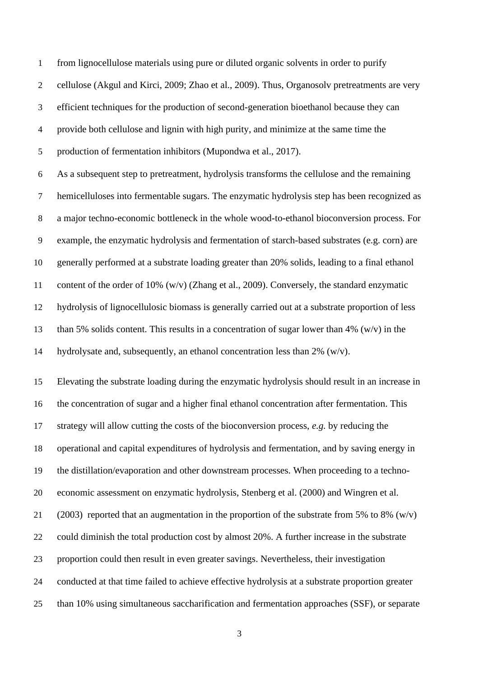from lignocellulose materials using pure or diluted organic solvents in order to purify cellulose (Akgul and Kirci, 2009; Zhao et al., 2009). Thus, Organosolv pretreatments are very efficient techniques for the production of second-generation bioethanol because they can provide both cellulose and lignin with high purity, and minimize at the same time the production of fermentation inhibitors (Mupondwa et al., 2017). As a subsequent step to pretreatment, hydrolysis transforms the cellulose and the remaining hemicelluloses into fermentable sugars. The enzymatic hydrolysis step has been recognized as a major techno-economic bottleneck in the whole wood-to-ethanol bioconversion process. For example, the enzymatic hydrolysis and fermentation of starch-based substrates (e.g. corn) are generally performed at a substrate loading greater than 20% solids, leading to a final ethanol content of the order of 10% (w/v) (Zhang et al., 2009). Conversely, the standard enzymatic hydrolysis of lignocellulosic biomass is generally carried out at a substrate proportion of less than 5% solids content. This results in a concentration of sugar lower than 4% (w/v) in the hydrolysate and, subsequently, an ethanol concentration less than 2% (w/v).

 Elevating the substrate loading during the enzymatic hydrolysis should result in an increase in the concentration of sugar and a higher final ethanol concentration after fermentation. This strategy will allow cutting the costs of the bioconversion process, *e.g.* by reducing the operational and capital expenditures of hydrolysis and fermentation, and by saving energy in the distillation/evaporation and other downstream processes. When proceeding to a techno- economic assessment on enzymatic hydrolysis, Stenberg et al. (2000) and Wingren et al. 21 (2003) reported that an augmentation in the proportion of the substrate from 5% to 8% (w/v) could diminish the total production cost by almost 20%. A further increase in the substrate proportion could then result in even greater savings. Nevertheless, their investigation conducted at that time failed to achieve effective hydrolysis at a substrate proportion greater than 10% using simultaneous saccharification and fermentation approaches (SSF), or separate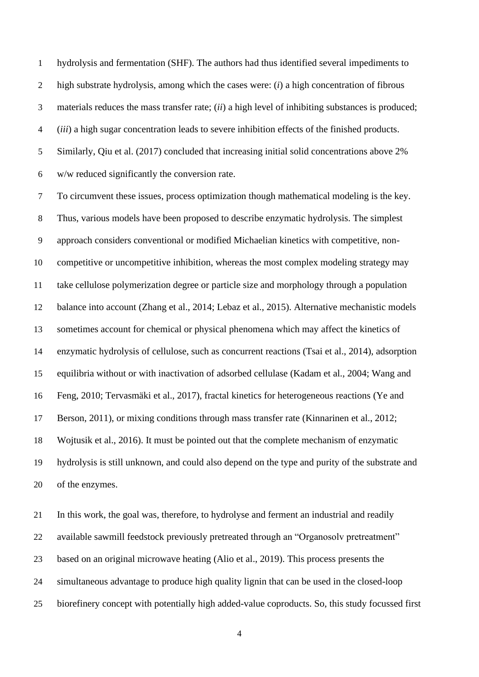hydrolysis and fermentation (SHF). The authors had thus identified several impediments to high substrate hydrolysis, among which the cases were: (*i*) a high concentration of fibrous materials reduces the mass transfer rate; (*ii*) a high level of inhibiting substances is produced; (*iii*) a high sugar concentration leads to severe inhibition effects of the finished products. Similarly, Qiu et al. (2017) concluded that increasing initial solid concentrations above 2% w/w reduced significantly the conversion rate.

 To circumvent these issues, process optimization though mathematical modeling is the key. Thus, various models have been proposed to describe enzymatic hydrolysis. The simplest approach considers conventional or modified Michaelian kinetics with competitive, non- competitive or uncompetitive inhibition, whereas the most complex modeling strategy may take cellulose polymerization degree or particle size and morphology through a population balance into account (Zhang et al., 2014; Lebaz et al., 2015). Alternative mechanistic models sometimes account for chemical or physical phenomena which may affect the kinetics of enzymatic hydrolysis of cellulose, such as concurrent reactions (Tsai et al., 2014), adsorption equilibria without or with inactivation of adsorbed cellulase (Kadam et al., 2004; Wang and Feng, 2010; Tervasmäki et al., 2017), fractal kinetics for heterogeneous reactions (Ye and Berson, 2011), or mixing conditions through mass transfer rate (Kinnarinen et al., 2012; Wojtusik et al., 2016). It must be pointed out that the complete mechanism of enzymatic hydrolysis is still unknown, and could also depend on the type and purity of the substrate and of the enzymes.

 In this work, the goal was, therefore, to hydrolyse and ferment an industrial and readily available sawmill feedstock previously pretreated through an "Organosolv pretreatment" based on an original microwave heating (Alio et al., 2019). This process presents the simultaneous advantage to produce high quality lignin that can be used in the closed-loop biorefinery concept with potentially high added-value coproducts. So, this study focussed first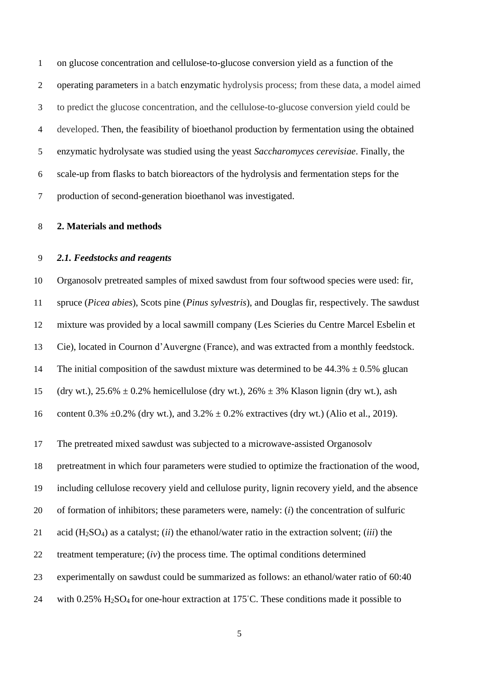on glucose concentration and cellulose-to-glucose conversion yield as a function of the operating parameters in a batch enzymatic hydrolysis process; from these data, a model aimed to predict the glucose concentration, and the cellulose-to-glucose conversion yield could be developed. Then, the feasibility of bioethanol production by fermentation using the obtained enzymatic hydrolysate was studied using the yeast *Saccharomyces cerevisiae*. Finally, the scale-up from flasks to batch bioreactors of the hydrolysis and fermentation steps for the production of second-generation bioethanol was investigated.

## **2. Materials and methods**

#### *2.1. Feedstocks and reagents*

 Organosolv pretreated samples of mixed sawdust from four softwood species were used: fir, spruce (*Picea abies*), Scots pine (*Pinus sylvestris*), and Douglas fir, respectively. The sawdust mixture was provided by a local sawmill company (Les Scieries du Centre Marcel Esbelin et Cie), located in Cournon d'Auvergne (France), and was extracted from a monthly feedstock. 14 The initial composition of the sawdust mixture was determined to be  $44.3\% \pm 0.5\%$  glucan 15 (dry wt.),  $25.6\% \pm 0.2\%$  hemicellulose (dry wt.),  $26\% \pm 3\%$  Klason lignin (dry wt.), ash

16 content 0.3%  $\pm 0.2$ % (dry wt.), and 3.2%  $\pm 0.2$ % extractives (dry wt.) (Alio et al., 2019).

The pretreated mixed sawdust was subjected to a microwave-assisted Organosolv

pretreatment in which four parameters were studied to optimize the fractionation of the wood,

including cellulose recovery yield and cellulose purity, lignin recovery yield, and the absence

of formation of inhibitors; these parameters were, namely: (*i*) the concentration of sulfuric

acid (H2SO4) as a catalyst; (*ii*) the ethanol/water ratio in the extraction solvent; (*iii*) the

treatment temperature; (*iv*) the process time. The optimal conditions determined

experimentally on sawdust could be summarized as follows: an ethanol/water ratio of 60:40

24 with  $0.25\%$  H<sub>2</sub>SO<sub>4</sub> for one-hour extraction at 175°C. These conditions made it possible to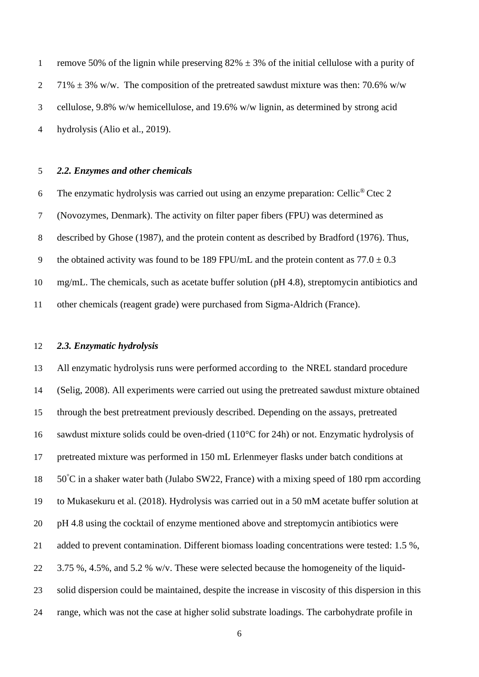1 remove 50% of the lignin while preserving  $82\% \pm 3\%$  of the initial cellulose with a purity of 2 71%  $\pm$  3% w/w. The composition of the pretreated sawdust mixture was then: 70.6% w/w cellulose, 9.8% w/w hemicellulose, and 19.6% w/w lignin, as determined by strong acid hydrolysis (Alio et al., 2019).

#### *2.2. Enzymes and other chemicals*

6 The enzymatic hydrolysis was carried out using an enzyme preparation: Cellic<sup>®</sup> Ctec 2 (Novozymes, Denmark). The activity on filter paper fibers (FPU) was determined as described by Ghose (1987), and the protein content as described by Bradford (1976). Thus, 9 the obtained activity was found to be 189 FPU/mL and the protein content as  $77.0 \pm 0.3$  mg/mL. The chemicals, such as acetate buffer solution (pH 4.8), streptomycin antibiotics and other chemicals (reagent grade) were purchased from Sigma-Aldrich (France).

#### *2.3. Enzymatic hydrolysis*

 All enzymatic hydrolysis runs were performed according to the NREL standard procedure (Selig, 2008). All experiments were carried out using the pretreated sawdust mixture obtained through the best pretreatment previously described. Depending on the assays, pretreated sawdust mixture solids could be oven-dried (110°C for 24h) or not. Enzymatic hydrolysis of pretreated mixture was performed in 150 mL Erlenmeyer flasks under batch conditions at  $50^{\circ}$ C in a shaker water bath (Julabo SW22, France) with a mixing speed of 180 rpm according to Mukasekuru et al. (2018). Hydrolysis was carried out in a 50 mM acetate buffer solution at pH 4.8 using the cocktail of enzyme mentioned above and streptomycin antibiotics were added to prevent contamination. Different biomass loading concentrations were tested: 1.5 %, 3.75 %, 4.5%, and 5.2 % w/v. These were selected because the homogeneity of the liquid- solid dispersion could be maintained, despite the increase in viscosity of this dispersion in this range, which was not the case at higher solid substrate loadings. The carbohydrate profile in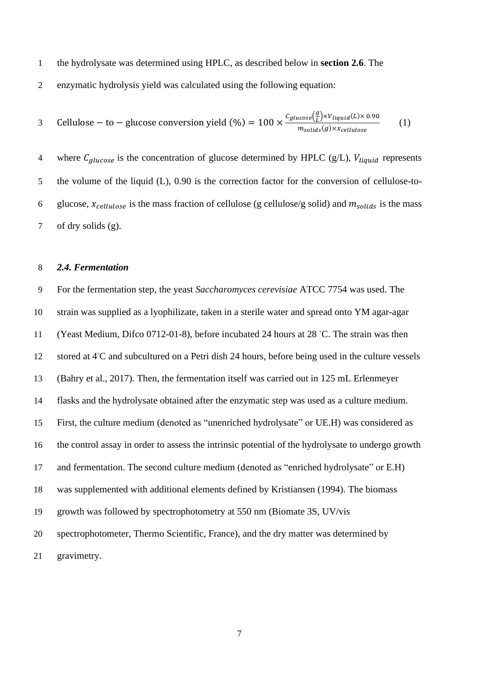the hydrolysate was determined using HPLC, as described below in **section 2.6**. The

enzymatic hydrolysis yield was calculated using the following equation:

3 **Cellulose – to – glucose conversion yield** 
$$
(\%) = 100 \times \frac{c_{glucose}(\frac{g}{L}) \times V_{liquid}(L) \times 0.90}{m_{solids}(g) \times x_{cellulose}}
$$
 (1)

4 where  $C_{glucose}$  is the concentration of glucose determined by HPLC (g/L),  $V_{liquid}$  represents the volume of the liquid (L), 0.90 is the correction factor for the conversion of cellulose-to-6 glucose,  $x_{cellulose}$  is the mass fraction of cellulose (g cellulose/g solid) and  $m_{solids}$  is the mass of dry solids (g).

#### *2.4. Fermentation*

 For the fermentation step, the yeast *Saccharomyces cerevisiae* ATCC 7754 was used. The strain was supplied as a lyophilizate, taken in a sterile water and spread onto YM agar-agar 11 (Yeast Medium, Difco 0712-01-8), before incubated 24 hours at 28 °C. The strain was then 12 stored at 4°C and subcultured on a Petri dish 24 hours, before being used in the culture vessels (Bahry et al., 2017). Then, the fermentation itself was carried out in 125 mL Erlenmeyer flasks and the hydrolysate obtained after the enzymatic step was used as a culture medium. First, the culture medium (denoted as "unenriched hydrolysate" or UE.H) was considered as the control assay in order to assess the intrinsic potential of the hydrolysate to undergo growth and fermentation. The second culture medium (denoted as "enriched hydrolysate" or E.H) was supplemented with additional elements defined by Kristiansen (1994). The biomass growth was followed by spectrophotometry at 550 nm (Biomate 3S, UV/vis spectrophotometer, Thermo Scientific, France), and the dry matter was determined by gravimetry.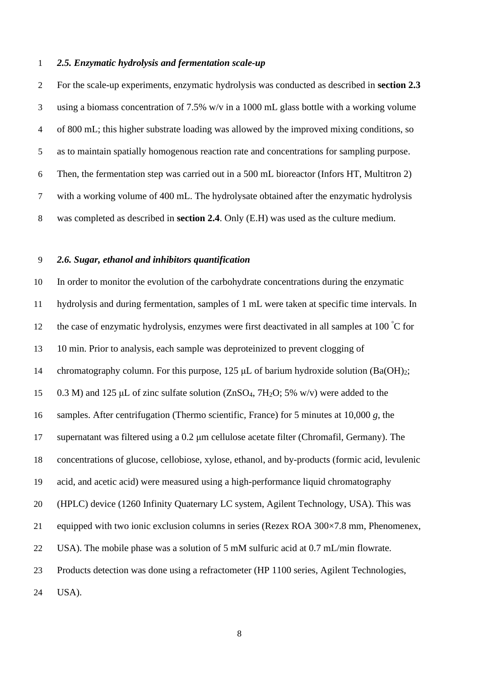#### *2.5. Enzymatic hydrolysis and fermentation scale-up*

 For the scale-up experiments, enzymatic hydrolysis was conducted as described in **section 2.3** using a biomass concentration of 7.5% w/v in a 1000 mL glass bottle with a working volume of 800 mL; this higher substrate loading was allowed by the improved mixing conditions, so as to maintain spatially homogenous reaction rate and concentrations for sampling purpose. Then, the fermentation step was carried out in a 500 mL bioreactor (Infors HT, Multitron 2) with a working volume of 400 mL. The hydrolysate obtained after the enzymatic hydrolysis was completed as described in **section 2.4**. Only (E.H) was used as the culture medium.

## *2.6. Sugar, ethanol and inhibitors quantification*

 In order to monitor the evolution of the carbohydrate concentrations during the enzymatic hydrolysis and during fermentation, samples of 1 mL were taken at specific time intervals. In 12 the case of enzymatic hydrolysis, enzymes were first deactivated in all samples at 100 °C for 10 min. Prior to analysis, each sample was deproteinized to prevent clogging of chromatography column. For this purpose, 125 μL of barium hydroxide solution (Ba(OH)2; 0.3 M) and 125 μL of zinc sulfate solution (ZnSO4, 7H2O; 5% w/v) were added to the samples. After centrifugation (Thermo scientific, France) for 5 minutes at 10,000 *g*, the supernatant was filtered using a 0.2 μm cellulose acetate filter (Chromafil, Germany). The concentrations of glucose, cellobiose, xylose, ethanol, and by-products (formic acid, levulenic acid, and acetic acid) were measured using a high-performance liquid chromatography (HPLC) device (1260 Infinity Quaternary LC system, Agilent Technology, USA). This was 21 equipped with two ionic exclusion columns in series (Rezex ROA  $300\times7.8$  mm, Phenomenex, USA). The mobile phase was a solution of 5 mM sulfuric acid at 0.7 mL/min flowrate. Products detection was done using a refractometer (HP 1100 series, Agilent Technologies, USA).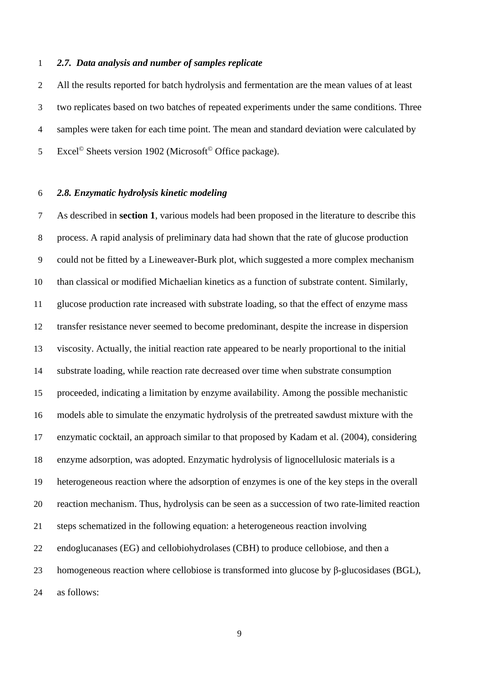#### *2.7. Data analysis and number of samples replicate*

 All the results reported for batch hydrolysis and fermentation are the mean values of at least two replicates based on two batches of repeated experiments under the same conditions. Three samples were taken for each time point. The mean and standard deviation were calculated by 5 Excel<sup>©</sup> Sheets version 1902 (Microsoft<sup>©</sup> Office package).

## *2.8. Enzymatic hydrolysis kinetic modeling*

 As described in **section 1**, various models had been proposed in the literature to describe this process. A rapid analysis of preliminary data had shown that the rate of glucose production could not be fitted by a Lineweaver-Burk plot, which suggested a more complex mechanism than classical or modified Michaelian kinetics as a function of substrate content. Similarly, glucose production rate increased with substrate loading, so that the effect of enzyme mass transfer resistance never seemed to become predominant, despite the increase in dispersion viscosity. Actually, the initial reaction rate appeared to be nearly proportional to the initial substrate loading, while reaction rate decreased over time when substrate consumption proceeded, indicating a limitation by enzyme availability. Among the possible mechanistic models able to simulate the enzymatic hydrolysis of the pretreated sawdust mixture with the enzymatic cocktail, an approach similar to that proposed by Kadam et al. (2004), considering enzyme adsorption, was adopted. Enzymatic hydrolysis of lignocellulosic materials is a heterogeneous reaction where the adsorption of enzymes is one of the key steps in the overall reaction mechanism. Thus, hydrolysis can be seen as a succession of two rate-limited reaction steps schematized in the following equation: a heterogeneous reaction involving endoglucanases (EG) and cellobiohydrolases (CBH) to produce cellobiose, and then a homogeneous reaction where cellobiose is transformed into glucose by β-glucosidases (BGL), as follows: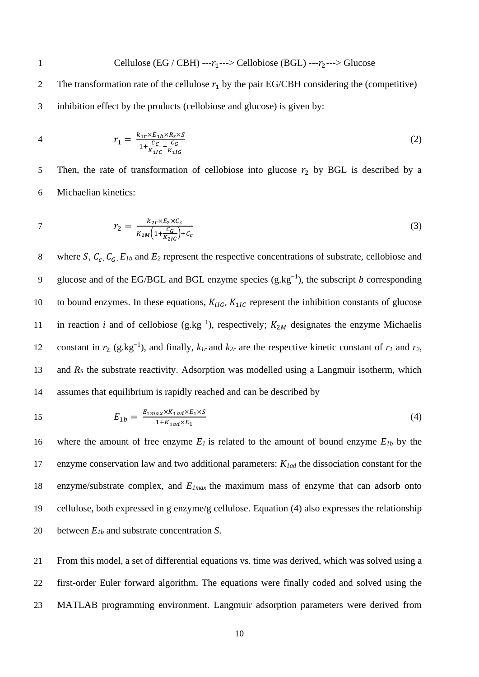1 Cellulose (EG / CBH) --- $r_1$ ---> Cellobiose (BGL) --- $r_2$ ---> Glucose 2 The transformation rate of the cellulose  $r_1$  by the pair EG/CBH considering the (competitive) inhibition effect by the products (cellobiose and glucose) is given by:

4 
$$
r_1 = \frac{k_{1r} \times E_{1b} \times R_S \times S}{1 + \frac{C_C}{K_{1IC}} + \frac{C_G}{K_{1IG}}}
$$
 (2)

5 Then, the rate of transformation of cellobiose into glucose  $r_2$  by BGL is described by a Michaelian kinetics:

7 
$$
r_2 = \frac{k_{2r} \times E_2 \times C_c}{K_{2M} \left(1 + \frac{C_G}{K_{2IG}}\right) + C_c}
$$
 (3)

8 where S,  $C_c$ ,  $C_G$ ,  $E_{1b}$  and  $E_2$  represent the respective concentrations of substrate, cellobiose and 9 glucose and of the EG/BGL and BGL enzyme species  $(g.kg^{-1})$ , the subscript *b* corresponding 10 to bound enzymes. In these equations,  $K_{iIG}$ ,  $K_{1IG}$  represent the inhibition constants of glucose 11 in reaction *i* and of cellobiose  $(g.kg^{-1})$ , respectively;  $K_{2M}$  designates the enzyme Michaelis constant in  $r_2$  (g.kg<sup>-1</sup>), and finally,  $k_{1r}$  and  $k_{2r}$  are the respective kinetic constant of  $r_1$  and  $r_2$ , and *R<sup>S</sup>* the substrate reactivity. Adsorption was modelled using a Langmuir isotherm, which assumes that equilibrium is rapidly reached and can be described by

$$
E_{1b} = \frac{E_{1max} \times K_{1ad} \times E_1 \times S}{1 + K_{1ad} \times E_1} \tag{4}
$$

 where the amount of free enzyme *E<sup>1</sup>* is related to the amount of bound enzyme *E1b* by the enzyme conservation law and two additional parameters: *K1ad* the dissociation constant for the enzyme/substrate complex, and *E1max* the maximum mass of enzyme that can adsorb onto cellulose, both expressed in g enzyme/g cellulose. Equation (4) also expresses the relationship between *E1b* and substrate concentration *S*.

 From this model, a set of differential equations vs. time was derived, which was solved using a first-order Euler forward algorithm. The equations were finally coded and solved using the MATLAB programming environment. Langmuir adsorption parameters were derived from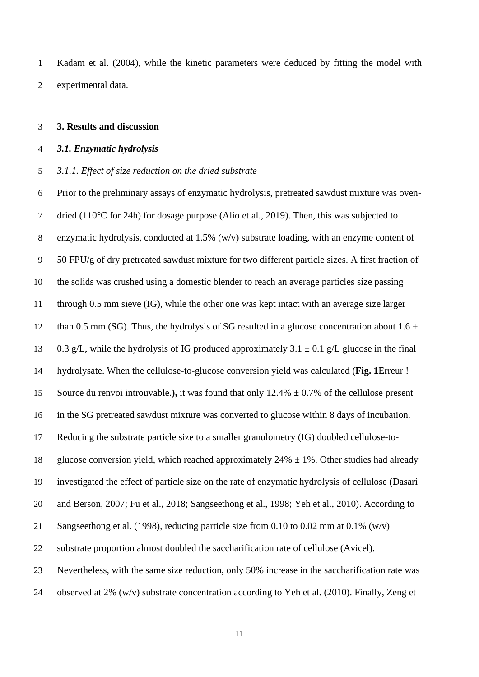Kadam et al. (2004), while the kinetic parameters were deduced by fitting the model with experimental data.

#### **3. Results and discussion**

#### *3.1. Enzymatic hydrolysis*

#### *3.1.1. Effect of size reduction on the dried substrate*

 Prior to the preliminary assays of enzymatic hydrolysis, pretreated sawdust mixture was oven- dried (110°C for 24h) for dosage purpose (Alio et al., 2019). Then, this was subjected to enzymatic hydrolysis, conducted at 1.5% (w/v) substrate loading, with an enzyme content of 50 FPU/g of dry pretreated sawdust mixture for two different particle sizes. A first fraction of the solids was crushed using a domestic blender to reach an average particles size passing through 0.5 mm sieve (IG), while the other one was kept intact with an average size larger 12 than 0.5 mm (SG). Thus, the hydrolysis of SG resulted in a glucose concentration about  $1.6 \pm 1.6$ 13 0.3 g/L, while the hydrolysis of IG produced approximately  $3.1 \pm 0.1$  g/L glucose in the final hydrolysate. When the cellulose-to-glucose conversion yield was calculated (**Fig. 1**Erreur ! Source du renvoi introuvable.**),** it was found that only 12.4% ± 0.7% of the cellulose present in the SG pretreated sawdust mixture was converted to glucose within 8 days of incubation. Reducing the substrate particle size to a smaller granulometry (IG) doubled cellulose-to-18 glucose conversion yield, which reached approximately  $24\% \pm 1\%$ . Other studies had already investigated the effect of particle size on the rate of enzymatic hydrolysis of cellulose (Dasari and Berson, 2007; Fu et al., 2018; Sangseethong et al., 1998; Yeh et al., 2010). According to Sangseethong et al. (1998), reducing particle size from 0.10 to 0.02 mm at 0.1% (w/v) substrate proportion almost doubled the saccharification rate of cellulose (Avicel). Nevertheless, with the same size reduction, only 50% increase in the saccharification rate was observed at 2% (w/v) substrate concentration according to Yeh et al. (2010). Finally, Zeng et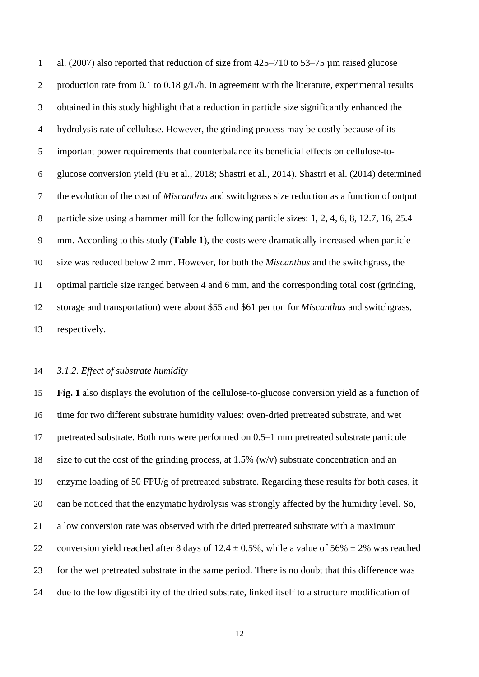al. (2007) also reported that reduction of size from 425–710 to 53–75 µm raised glucose 2 production rate from 0.1 to 0.18 g/L/h. In agreement with the literature, experimental results obtained in this study highlight that a reduction in particle size significantly enhanced the hydrolysis rate of cellulose. However, the grinding process may be costly because of its important power requirements that counterbalance its beneficial effects on cellulose-to- glucose conversion yield (Fu et al., 2018; Shastri et al., 2014). Shastri et al. (2014) determined the evolution of the cost of *Miscanthus* and switchgrass size reduction as a function of output particle size using a hammer mill for the following particle sizes: 1, 2, 4, 6, 8, 12.7, 16, 25.4 mm. According to this study (**Table 1**), the costs were dramatically increased when particle size was reduced below 2 mm. However, for both the *Miscanthus* and the switchgrass, the optimal particle size ranged between 4 and 6 mm, and the corresponding total cost (grinding, storage and transportation) were about \$55 and \$61 per ton for *Miscanthus* and switchgrass, respectively.

#### *3.1.2. Effect of substrate humidity*

 **Fig. 1** also displays the evolution of the cellulose-to-glucose conversion yield as a function of time for two different substrate humidity values: oven-dried pretreated substrate, and wet pretreated substrate. Both runs were performed on 0.5–1 mm pretreated substrate particule size to cut the cost of the grinding process, at 1.5% (w/v) substrate concentration and an enzyme loading of 50 FPU/g of pretreated substrate. Regarding these results for both cases, it can be noticed that the enzymatic hydrolysis was strongly affected by the humidity level. So, a low conversion rate was observed with the dried pretreated substrate with a maximum 22 conversion yield reached after 8 days of  $12.4 \pm 0.5\%$ , while a value of  $56\% \pm 2\%$  was reached for the wet pretreated substrate in the same period. There is no doubt that this difference was due to the low digestibility of the dried substrate, linked itself to a structure modification of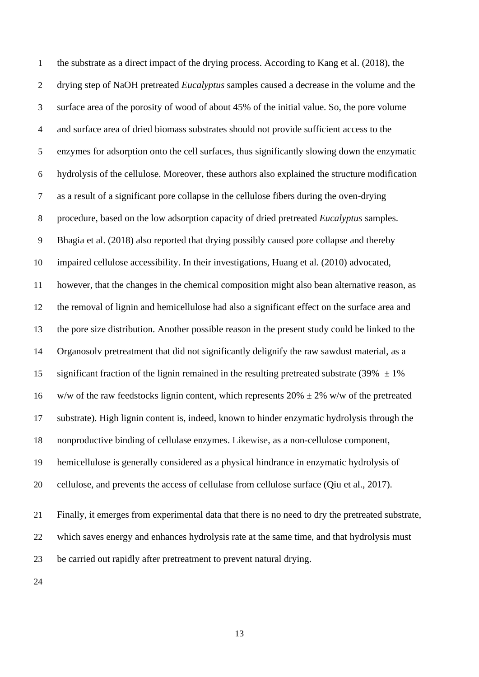the substrate as a direct impact of the drying process. According to Kang et al. (2018), the drying step of NaOH pretreated *Eucalyptus* samples caused a decrease in the volume and the surface area of the porosity of wood of about 45% of the initial value. So, the pore volume and surface area of dried biomass substrates should not provide sufficient access to the enzymes for adsorption onto the cell surfaces, thus significantly slowing down the enzymatic hydrolysis of the cellulose. Moreover, these authors also explained the structure modification as a result of a significant pore collapse in the cellulose fibers during the oven-drying procedure, based on the low adsorption capacity of dried pretreated *Eucalyptus* samples. Bhagia et al. (2018) also reported that drying possibly caused pore collapse and thereby impaired cellulose accessibility. In their investigations, Huang et al. (2010) advocated, however, that the changes in the chemical composition might also bean alternative reason, as the removal of lignin and hemicellulose had also a significant effect on the surface area and the pore size distribution. Another possible reason in the present study could be linked to the Organosolv pretreatment that did not significantly delignify the raw sawdust material, as a 15 significant fraction of the lignin remained in the resulting pretreated substrate (39%  $\pm$  1%) 16 w/w of the raw feedstocks lignin content, which represents  $20\% \pm 2\%$  w/w of the pretreated substrate). High lignin content is, indeed, known to hinder enzymatic hydrolysis through the nonproductive binding of cellulase enzymes. Likewise, as a non-cellulose component, hemicellulose is generally considered as a physical hindrance in [enzymatic hydrolysis](https://www-sciencedirect-com.ezproxy.uca.fr/topics/biochemistry-genetics-and-molecular-biology/enzymatic-hydrolysis) of cellulose, and prevents the access of [cellulase](https://www-sciencedirect-com.ezproxy.uca.fr/topics/engineering/cellulases) from cellulose surface (Qiu et al., 2017). Finally, it emerges from experimental data that there is no need to dry the pretreated substrate, which saves energy and enhances hydrolysis rate at the same time, and that hydrolysis must be carried out rapidly after pretreatment to prevent natural drying.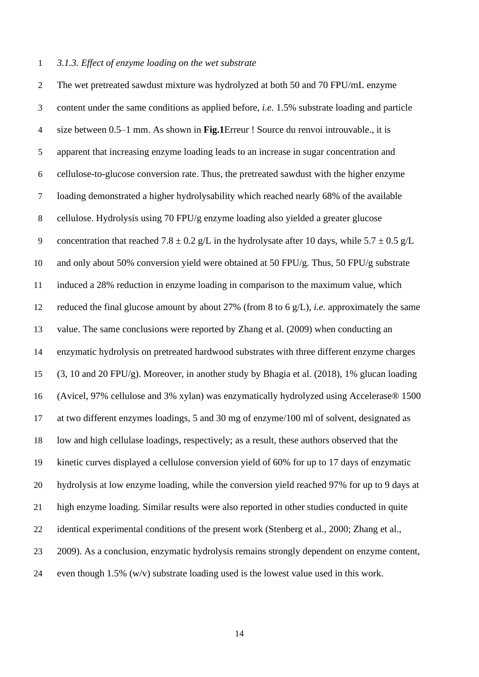#### *3.1.3. Effect of enzyme loading on the wet substrate*

 The wet pretreated sawdust mixture was hydrolyzed at both 50 and 70 FPU/mL enzyme content under the same conditions as applied before, *i.e.* 1.5% substrate loading and particle size between 0.5–1 mm. As shown in **Fig.1**Erreur ! Source du renvoi introuvable., it is apparent that increasing enzyme loading leads to an increase in sugar concentration and cellulose-to-glucose conversion rate. Thus, the pretreated sawdust with the higher enzyme loading demonstrated a higher hydrolysability which reached nearly 68% of the available cellulose. Hydrolysis using 70 FPU/g enzyme loading also yielded a greater glucose 9 concentration that reached  $7.8 \pm 0.2$  g/L in the hydrolysate after 10 days, while  $5.7 \pm 0.5$  g/L and only about 50% conversion yield were obtained at 50 FPU/g. Thus, 50 FPU/g substrate induced a 28% reduction in enzyme loading in comparison to the maximum value, which reduced the final glucose amount by about 27% (from 8 to 6 g/L), *i.e.* approximately the same value. The same conclusions were reported by Zhang et al. (2009) when conducting an enzymatic hydrolysis on pretreated hardwood substrates with three different enzyme charges (3, 10 and 20 FPU/g). Moreover, in another study by Bhagia et al. (2018), 1% glucan loading (Avicel, 97% cellulose and 3% xylan) was enzymatically hydrolyzed using Accelerase® 1500 at two different enzymes loadings, 5 and 30 mg of enzyme/100 ml of solvent, designated as low and high cellulase loadings, respectively; as a result, these authors observed that the kinetic curves displayed a cellulose conversion yield of 60% for up to 17 days of enzymatic hydrolysis at low enzyme loading, while the conversion yield reached 97% for up to 9 days at high enzyme loading. Similar results were also reported in other studies conducted in quite identical experimental conditions of the present work (Stenberg et al., 2000; Zhang et al., 2009). As a conclusion, enzymatic hydrolysis remains strongly dependent on enzyme content, 24 even though 1.5%  $(w/v)$  substrate loading used is the lowest value used in this work.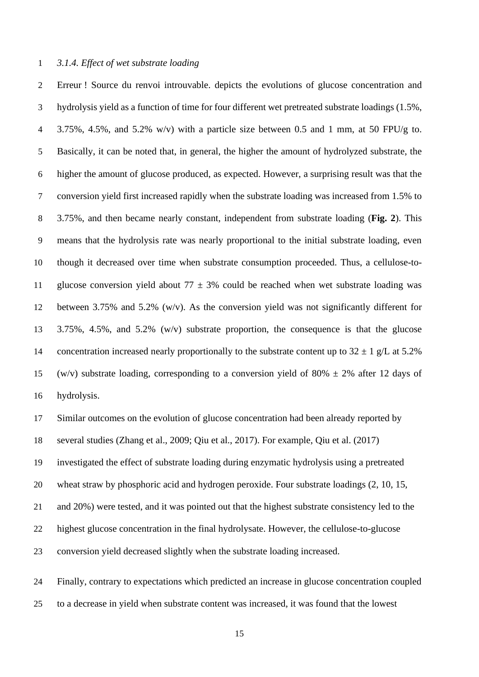#### *3.1.4. Effect of wet substrate loading*

 Erreur ! Source du renvoi introuvable. depicts the evolutions of glucose concentration and hydrolysis yield as a function of time for four different wet pretreated substrate loadings (1.5%, 3.75%, 4.5%, and 5.2% w/v) with a particle size between 0.5 and 1 mm, at 50 FPU/g to. Basically, it can be noted that, in general, the higher the amount of hydrolyzed substrate, the higher the amount of glucose produced, as expected. However, a surprising result was that the conversion yield first increased rapidly when the substrate loading was increased from 1.5% to 3.75%, and then became nearly constant, independent from substrate loading (**Fig. 2**). This means that the hydrolysis rate was nearly proportional to the initial substrate loading, even though it decreased over time when substrate consumption proceeded. Thus, a cellulose-to-11 glucose conversion yield about  $77 \pm 3\%$  could be reached when wet substrate loading was between 3.75% and 5.2% (w/v). As the conversion yield was not significantly different for 3.75%, 4.5%, and 5.2% (w/v) substrate proportion, the consequence is that the glucose 14 concentration increased nearly proportionally to the substrate content up to  $32 \pm 1$  g/L at  $5.2\%$ 15 (w/v) substrate loading, corresponding to a conversion yield of 80%  $\pm$  2% after 12 days of hydrolysis.

Similar outcomes on the evolution of glucose concentration had been already reported by

several studies (Zhang et al., 2009; Qiu et al., 2017). For example, Qiu et al. (2017)

investigated the effect of substrate loading during enzymatic hydrolysis using a pretreated

wheat straw by phosphoric acid and hydrogen peroxide. Four substrate loadings (2, 10, 15,

and 20%) were tested, and it was pointed out that the highest substrate consistency led to the

highest glucose concentration in the final hydrolysate. However, the cellulose-to-glucose

conversion yield decreased slightly when the substrate loading increased.

 Finally, contrary to expectations which predicted an increase in glucose concentration coupled to a decrease in yield when substrate content was increased, it was found that the lowest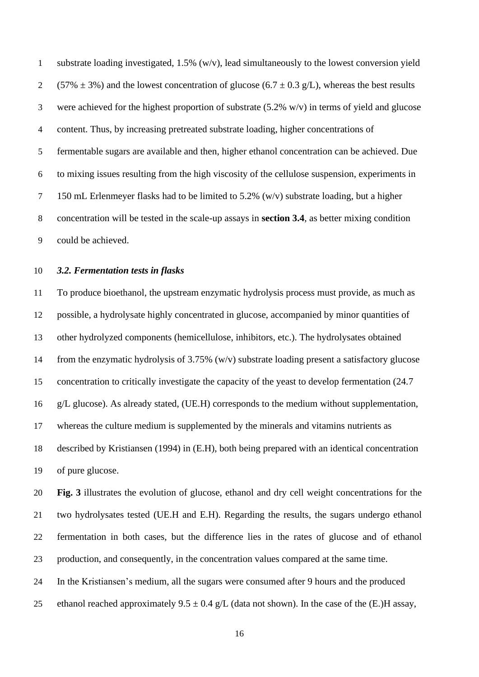substrate loading investigated, 1.5% (w/v), lead simultaneously to the lowest conversion yield 2 (57%  $\pm$  3%) and the lowest concentration of glucose (6.7  $\pm$  0.3 g/L), whereas the best results were achieved for the highest proportion of substrate (5.2% w/v) in terms of yield and glucose content. Thus, by increasing pretreated substrate loading, higher concentrations of fermentable sugars are available and then, higher ethanol concentration can be achieved. Due to mixing issues resulting from the high viscosity of the cellulose suspension, experiments in 150 mL Erlenmeyer flasks had to be limited to 5.2% (w/v) substrate loading, but a higher concentration will be tested in the scale-up assays in **section 3.4**, as better mixing condition could be achieved.

#### *3.2. Fermentation tests in flasks*

 To produce bioethanol, the upstream enzymatic hydrolysis process must provide, as much as possible, a hydrolysate highly concentrated in glucose, accompanied by minor quantities of other hydrolyzed components (hemicellulose, inhibitors, etc.). The hydrolysates obtained from the enzymatic hydrolysis of 3.75% (w/v) substrate loading present a satisfactory glucose concentration to critically investigate the capacity of the yeast to develop fermentation (24.7 g/L glucose). As already stated, (UE.H) corresponds to the medium without supplementation, whereas the culture medium is supplemented by the minerals and vitamins nutrients as described by Kristiansen (1994) in (E.H), both being prepared with an identical concentration of pure glucose.

 **Fig. 3** illustrates the evolution of glucose, ethanol and dry cell weight concentrations for the two hydrolysates tested (UE.H and E.H). Regarding the results, the sugars undergo ethanol fermentation in both cases, but the difference lies in the rates of glucose and of ethanol production, and consequently, in the concentration values compared at the same time.

In the Kristiansen's medium, all the sugars were consumed after 9 hours and the produced

25 ethanol reached approximately  $9.5 \pm 0.4$  g/L (data not shown). In the case of the (E.)H assay,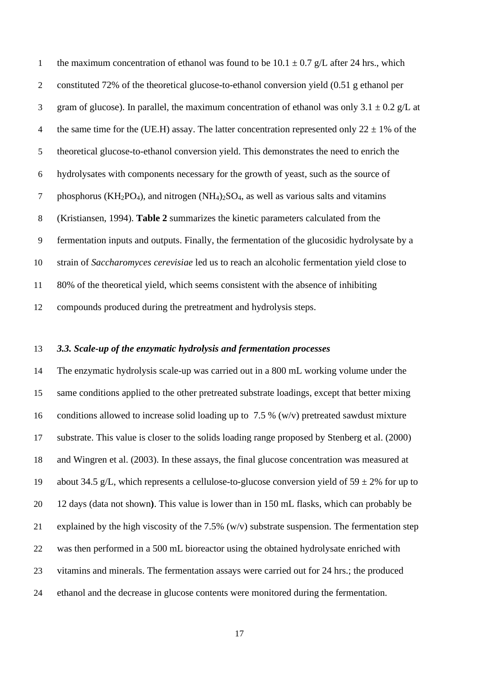1 the maximum concentration of ethanol was found to be  $10.1 \pm 0.7$  g/L after 24 hrs., which constituted 72% of the theoretical glucose-to-ethanol conversion yield (0.51 g ethanol per 3 gram of glucose). In parallel, the maximum concentration of ethanol was only  $3.1 \pm 0.2$  g/L at 4 the same time for the (UE.H) assay. The latter concentration represented only  $22 \pm 1\%$  of the theoretical glucose-to-ethanol conversion yield. This demonstrates the need to enrich the hydrolysates with components necessary for the growth of yeast, such as the source of 7 phosphorus ( $KH_2PO_4$ ), and nitrogen ( $NH_4$ )<sub>2</sub>SO<sub>4</sub>, as well as various salts and vitamins (Kristiansen, 1994). **Table 2** summarizes the kinetic parameters calculated from the fermentation inputs and outputs. Finally, the fermentation of the glucosidic hydrolysate by a strain of *Saccharomyces cerevisiae* led us to reach an alcoholic fermentation yield close to 80% of the theoretical yield, which seems consistent with the absence of inhibiting compounds produced during the pretreatment and hydrolysis steps.

# *3.3. Scale-up of the enzymatic hydrolysis and fermentation processes*

 The enzymatic hydrolysis scale-up was carried out in a 800 mL working volume under the same conditions applied to the other pretreated substrate loadings, except that better mixing conditions allowed to increase solid loading up to 7.5 % (w/v) pretreated sawdust mixture substrate. This value is closer to the solids loading range proposed by Stenberg et al. (2000) and Wingren et al. (2003). In these assays, the final glucose concentration was measured at 19 about 34.5 g/L, which represents a cellulose-to-glucose conversion yield of  $59 \pm 2\%$  for up to 12 days (data not shown**)**. This value is lower than in 150 mL flasks, which can probably be 21 explained by the high viscosity of the 7.5%  $(w/v)$  substrate suspension. The fermentation step was then performed in a 500 mL bioreactor using the obtained hydrolysate enriched with vitamins and minerals. The fermentation assays were carried out for 24 hrs.; the produced ethanol and the decrease in glucose contents were monitored during the fermentation.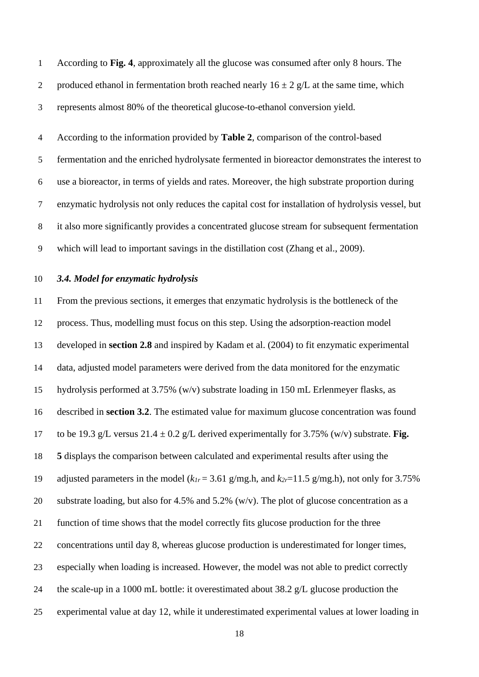According to **Fig. 4**, approximately all the glucose was consumed after only 8 hours. The 2 produced ethanol in fermentation broth reached nearly  $16 \pm 2$  g/L at the same time, which represents almost 80% of the theoretical glucose-to-ethanol conversion yield.

 According to the information provided by **Table 2**, comparison of the control-based fermentation and the enriched hydrolysate fermented in bioreactor demonstrates the interest to use a bioreactor, in terms of yields and rates. Moreover, the high substrate proportion during enzymatic hydrolysis not only reduces the capital cost for installation of hydrolysis vessel, but it also more significantly provides a concentrated glucose stream for subsequent fermentation which will lead to important savings in the distillation cost (Zhang et al., 2009).

### *3.4. Model for enzymatic hydrolysis*

 From the previous sections, it emerges that enzymatic hydrolysis is the bottleneck of the process. Thus, modelling must focus on this step. Using the adsorption-reaction model developed in **section 2.8** and inspired by Kadam et al. (2004) to fit enzymatic experimental data, adjusted model parameters were derived from the data monitored for the enzymatic hydrolysis performed at 3.75% (w/v) substrate loading in 150 mL Erlenmeyer flasks, as described in **section 3.2**. The estimated value for maximum glucose concentration was found 17 to be 19.3 g/L versus  $21.4 \pm 0.2$  g/L derived experimentally for 3.75% (w/v) substrate. **Fig. 5** displays the comparison between calculated and experimental results after using the 19 adjusted parameters in the model  $(k_{1r} = 3.61 \text{ g/mg.h}, \text{ and } k_{2r} = 11.5 \text{ g/mg.h}, \text{ not only for } 3.75\%$ 20 substrate loading, but also for 4.5% and 5.2% (w/v). The plot of glucose concentration as a function of time shows that the model correctly fits glucose production for the three concentrations until day 8, whereas glucose production is underestimated for longer times, especially when loading is increased. However, the model was not able to predict correctly the scale-up in a 1000 mL bottle: it overestimated about 38.2 g/L glucose production the experimental value at day 12, while it underestimated experimental values at lower loading in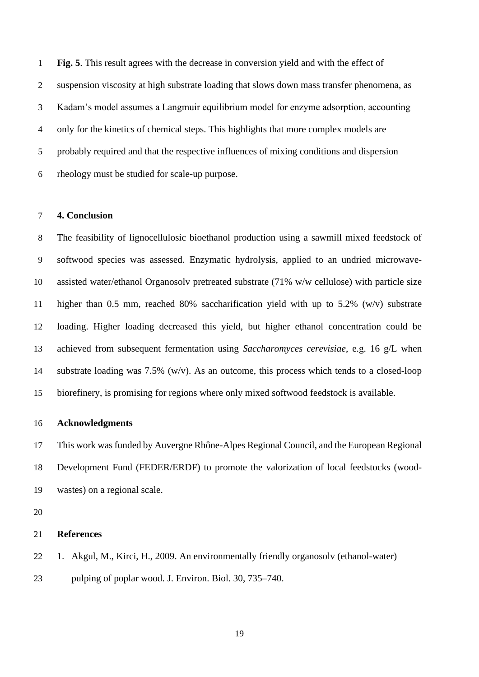**Fig. 5**. This result agrees with the decrease in conversion yield and with the effect of suspension viscosity at high substrate loading that slows down mass transfer phenomena, as Kadam's model assumes a Langmuir equilibrium model for enzyme adsorption, accounting only for the kinetics of chemical steps. This highlights that more complex models are probably required and that the respective influences of mixing conditions and dispersion rheology must be studied for scale-up purpose.

#### **4. Conclusion**

 The feasibility of lignocellulosic bioethanol production using a sawmill mixed feedstock of softwood species was assessed. Enzymatic hydrolysis, applied to an undried microwave- assisted water/ethanol Organosolv pretreated substrate (71% w/w cellulose) with particle size higher than 0.5 mm, reached 80% saccharification yield with up to 5.2% (w/v) substrate loading. Higher loading decreased this yield, but higher ethanol concentration could be achieved from subsequent fermentation using *Saccharomyces cerevisiae*, e.g. 16 g/L when substrate loading was 7.5% (w/v). As an outcome, this process which tends to a closed-loop biorefinery, is promising for regions where only mixed softwood feedstock is available.

#### **Acknowledgments**

 This work wasfunded by Auvergne Rhône-Alpes Regional Council, and the European Regional Development Fund (FEDER/ERDF) to promote the valorization of local feedstocks (wood-wastes) on a regional scale.

#### **References**

- 1. Akgul, M., Kirci, H., 2009. An environmentally friendly organosolv (ethanol-water)
- pulping of poplar wood. J. Environ. Biol. 30, 735–740.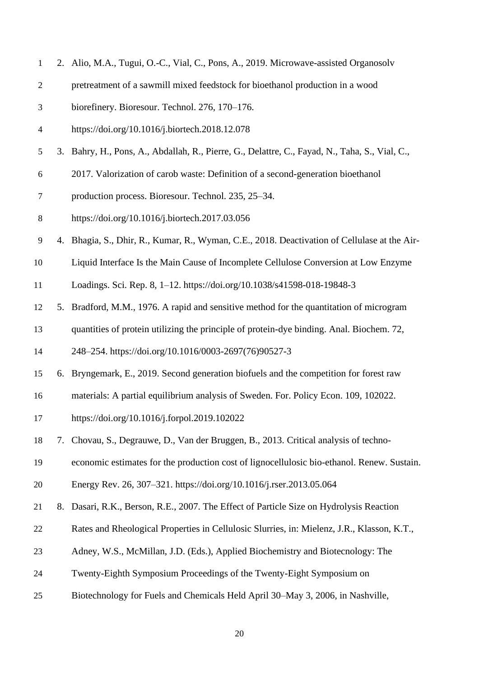| $\mathbf{1}$             |    | 2. Alio, M.A., Tugui, O.-C., Vial, C., Pons, A., 2019. Microwave-assisted Organosolv           |  |  |  |  |  |  |
|--------------------------|----|------------------------------------------------------------------------------------------------|--|--|--|--|--|--|
| $\overline{c}$           |    | pretreatment of a sawmill mixed feedstock for bioethanol production in a wood                  |  |  |  |  |  |  |
| 3                        |    | biorefinery. Bioresour. Technol. 276, 170-176.                                                 |  |  |  |  |  |  |
| $\overline{\mathcal{A}}$ |    | https://doi.org/10.1016/j.biortech.2018.12.078                                                 |  |  |  |  |  |  |
| $\mathfrak{S}$           |    | 3. Bahry, H., Pons, A., Abdallah, R., Pierre, G., Delattre, C., Fayad, N., Taha, S., Vial, C., |  |  |  |  |  |  |
| 6                        |    | 2017. Valorization of carob waste: Definition of a second-generation bioethanol                |  |  |  |  |  |  |
| 7                        |    | production process. Bioresour. Technol. 235, 25–34.                                            |  |  |  |  |  |  |
| $\,8\,$                  |    | https://doi.org/10.1016/j.biortech.2017.03.056                                                 |  |  |  |  |  |  |
| 9                        |    | 4. Bhagia, S., Dhir, R., Kumar, R., Wyman, C.E., 2018. Deactivation of Cellulase at the Air-   |  |  |  |  |  |  |
| 10                       |    | Liquid Interface Is the Main Cause of Incomplete Cellulose Conversion at Low Enzyme            |  |  |  |  |  |  |
| 11                       |    | Loadings. Sci. Rep. 8, 1-12. https://doi.org/10.1038/s41598-018-19848-3                        |  |  |  |  |  |  |
| 12                       |    | 5. Bradford, M.M., 1976. A rapid and sensitive method for the quantitation of microgram        |  |  |  |  |  |  |
| 13                       |    | quantities of protein utilizing the principle of protein-dye binding. Anal. Biochem. 72,       |  |  |  |  |  |  |
| 14                       |    | 248-254. https://doi.org/10.1016/0003-2697(76)90527-3                                          |  |  |  |  |  |  |
| 15                       |    | 6. Bryngemark, E., 2019. Second generation biofuels and the competition for forest raw         |  |  |  |  |  |  |
| 16                       |    | materials: A partial equilibrium analysis of Sweden. For. Policy Econ. 109, 102022.            |  |  |  |  |  |  |
| 17                       |    | https://doi.org/10.1016/j.forpol.2019.102022                                                   |  |  |  |  |  |  |
| 18                       |    | 7. Chovau, S., Degrauwe, D., Van der Bruggen, B., 2013. Critical analysis of techno-           |  |  |  |  |  |  |
| 19                       |    | economic estimates for the production cost of lignocellulosic bio-ethanol. Renew. Sustain.     |  |  |  |  |  |  |
| 20                       |    | Energy Rev. 26, 307-321. https://doi.org/10.1016/j.rser.2013.05.064                            |  |  |  |  |  |  |
| 21                       | 8. | Dasari, R.K., Berson, R.E., 2007. The Effect of Particle Size on Hydrolysis Reaction           |  |  |  |  |  |  |
| 22                       |    | Rates and Rheological Properties in Cellulosic Slurries, in: Mielenz, J.R., Klasson, K.T.,     |  |  |  |  |  |  |
| 23                       |    | Adney, W.S., McMillan, J.D. (Eds.), Applied Biochemistry and Biotecnology: The                 |  |  |  |  |  |  |
| 24                       |    | Twenty-Eighth Symposium Proceedings of the Twenty-Eight Symposium on                           |  |  |  |  |  |  |
| 25                       |    | Biotechnology for Fuels and Chemicals Held April 30–May 3, 2006, in Nashville,                 |  |  |  |  |  |  |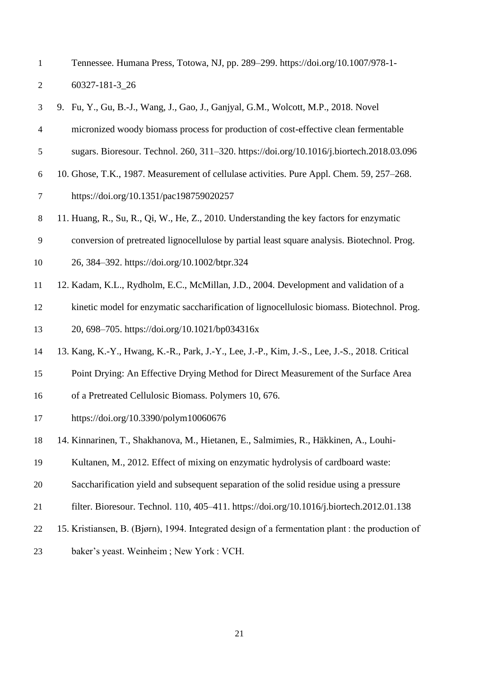| $\mathbf 1$    | Tennessee. Humana Press, Totowa, NJ, pp. 289-299. https://doi.org/10.1007/978-1-                 |
|----------------|--------------------------------------------------------------------------------------------------|
| $\overline{2}$ | 60327-181-3_26                                                                                   |
| 3              | 9. Fu, Y., Gu, B.-J., Wang, J., Gao, J., Ganjyal, G.M., Wolcott, M.P., 2018. Novel               |
| 4              | micronized woody biomass process for production of cost-effective clean fermentable              |
| 5              | sugars. Bioresour. Technol. 260, 311-320. https://doi.org/10.1016/j.biortech.2018.03.096         |
| 6              | 10. Ghose, T.K., 1987. Measurement of cellulase activities. Pure Appl. Chem. 59, 257-268.        |
| $\tau$         | https://doi.org/10.1351/pac198759020257                                                          |
| $8\,$          | 11. Huang, R., Su, R., Qi, W., He, Z., 2010. Understanding the key factors for enzymatic         |
| 9              | conversion of pretreated lignocellulose by partial least square analysis. Biotechnol. Prog.      |
| 10             | 26, 384–392. https://doi.org/10.1002/btpr.324                                                    |
| 11             | 12. Kadam, K.L., Rydholm, E.C., McMillan, J.D., 2004. Development and validation of a            |
| 12             | kinetic model for enzymatic saccharification of lignocellulosic biomass. Biotechnol. Prog.       |
| 13             | 20, 698-705. https://doi.org/10.1021/bp034316x                                                   |
| 14             | 13. Kang, K.-Y., Hwang, K.-R., Park, J.-Y., Lee, J.-P., Kim, J.-S., Lee, J.-S., 2018. Critical   |
| 15             | Point Drying: An Effective Drying Method for Direct Measurement of the Surface Area              |
| 16             | of a Pretreated Cellulosic Biomass. Polymers 10, 676.                                            |
| 17             | https://doi.org/10.3390/polym10060676                                                            |
| 18             | 14. Kinnarinen, T., Shakhanova, M., Hietanen, E., Salmimies, R., Häkkinen, A., Louhi-            |
| 19             | Kultanen, M., 2012. Effect of mixing on enzymatic hydrolysis of cardboard waste:                 |
| 20             | Saccharification yield and subsequent separation of the solid residue using a pressure           |
| 21             | filter. Bioresour. Technol. 110, 405–411. https://doi.org/10.1016/j.biortech.2012.01.138         |
| 22             | 15. Kristiansen, B. (Bjørn), 1994. Integrated design of a fermentation plant : the production of |
| 23             | baker's yeast. Weinheim; New York: VCH.                                                          |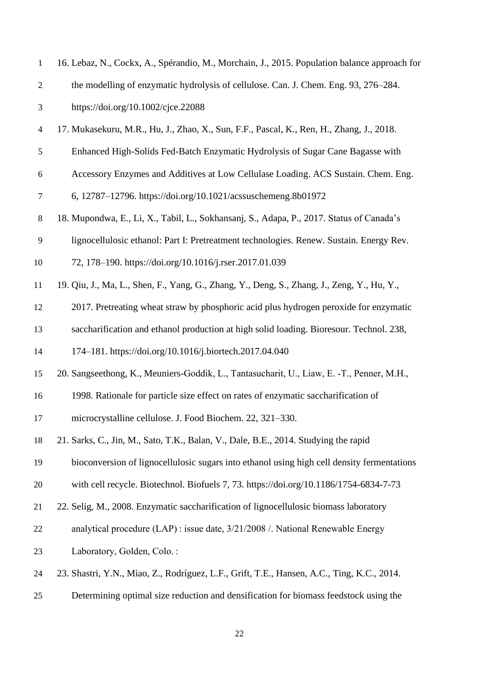| $\mathbf{1}$             | 16. Lebaz, N., Cockx, A., Spérandio, M., Morchain, J., 2015. Population balance approach for |
|--------------------------|----------------------------------------------------------------------------------------------|
| $\sqrt{2}$               | the modelling of enzymatic hydrolysis of cellulose. Can. J. Chem. Eng. 93, 276–284.          |
| 3                        | https://doi.org/10.1002/cjce.22088                                                           |
| $\overline{\mathcal{A}}$ | 17. Mukasekuru, M.R., Hu, J., Zhao, X., Sun, F.F., Pascal, K., Ren, H., Zhang, J., 2018.     |
| $\mathfrak s$            | Enhanced High-Solids Fed-Batch Enzymatic Hydrolysis of Sugar Cane Bagasse with               |
| 6                        | Accessory Enzymes and Additives at Low Cellulase Loading. ACS Sustain. Chem. Eng.            |
| $\tau$                   | 6, 12787-12796. https://doi.org/10.1021/acssuschemeng.8b01972                                |
| $\,8\,$                  | 18. Mupondwa, E., Li, X., Tabil, L., Sokhansanj, S., Adapa, P., 2017. Status of Canada's     |
| $\mathbf{9}$             | lignocellulosic ethanol: Part I: Pretreatment technologies. Renew. Sustain. Energy Rev.      |
| 10                       | 72, 178-190. https://doi.org/10.1016/j.rser.2017.01.039                                      |
| 11                       | 19. Qiu, J., Ma, L., Shen, F., Yang, G., Zhang, Y., Deng, S., Zhang, J., Zeng, Y., Hu, Y.,   |
| 12                       | 2017. Pretreating wheat straw by phosphoric acid plus hydrogen peroxide for enzymatic        |
| 13                       | saccharification and ethanol production at high solid loading. Bioresour. Technol. 238,      |
| 14                       | 174-181. https://doi.org/10.1016/j.biortech.2017.04.040                                      |
| 15                       | 20. Sangseethong, K., Meuniers-Goddik, L., Tantasucharit, U., Liaw, E. -T., Penner, M.H.,    |
| 16                       | 1998. Rationale for particle size effect on rates of enzymatic saccharification of           |
| 17                       | microcrystalline cellulose. J. Food Biochem. 22, 321-330.                                    |
| 18                       | 21. Sarks, C., Jin, M., Sato, T.K., Balan, V., Dale, B.E., 2014. Studying the rapid          |
| 19                       | bioconversion of lignocellulosic sugars into ethanol using high cell density fermentations   |
| 20                       | with cell recycle. Biotechnol. Biofuels 7, 73. https://doi.org/10.1186/1754-6834-7-73        |
| 21                       | 22. Selig, M., 2008. Enzymatic saccharification of lignocellulosic biomass laboratory        |
| 22                       | analytical procedure (LAP) : issue date, 3/21/2008 /. National Renewable Energy              |
| 23                       | Laboratory, Golden, Colo.:                                                                   |
| 24                       | 23. Shastri, Y.N., Miao, Z., Rodríguez, L.F., Grift, T.E., Hansen, A.C., Ting, K.C., 2014.   |
|                          |                                                                                              |

Determining optimal size reduction and densification for biomass feedstock using the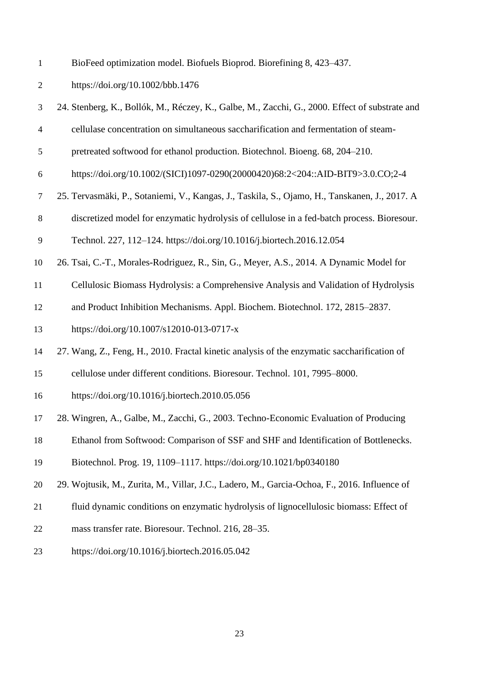BioFeed optimization model. Biofuels Bioprod. Biorefining 8, 423–437.

https://doi.org/10.1002/bbb.1476

 24. Stenberg, K., Bollók, M., Réczey, K., Galbe, M., Zacchi, G., 2000. Effect of substrate and cellulase concentration on simultaneous saccharification and fermentation of steam- pretreated softwood for ethanol production. Biotechnol. Bioeng. 68, 204–210. https://doi.org/10.1002/(SICI)1097-0290(20000420)68:2<204::AID-BIT9>3.0.CO;2-4 25. Tervasmäki, P., Sotaniemi, V., Kangas, J., Taskila, S., Ojamo, H., Tanskanen, J., 2017. A discretized model for enzymatic hydrolysis of cellulose in a fed-batch process. Bioresour. Technol. 227, 112–124. https://doi.org/10.1016/j.biortech.2016.12.054 26. Tsai, C.-T., Morales-Rodriguez, R., Sin, G., Meyer, A.S., 2014. A Dynamic Model for Cellulosic Biomass Hydrolysis: a Comprehensive Analysis and Validation of Hydrolysis and Product Inhibition Mechanisms. Appl. Biochem. Biotechnol. 172, 2815–2837. https://doi.org/10.1007/s12010-013-0717-x 27. Wang, Z., Feng, H., 2010. Fractal kinetic analysis of the enzymatic saccharification of cellulose under different conditions. Bioresour. Technol. 101, 7995–8000. https://doi.org/10.1016/j.biortech.2010.05.056 28. Wingren, A., Galbe, M., Zacchi, G., 2003. Techno-Economic Evaluation of Producing Ethanol from Softwood: Comparison of SSF and SHF and Identification of Bottlenecks. Biotechnol. Prog. 19, 1109–1117. https://doi.org/10.1021/bp0340180 29. Wojtusik, M., Zurita, M., Villar, J.C., Ladero, M., Garcia-Ochoa, F., 2016. Influence of fluid dynamic conditions on enzymatic hydrolysis of lignocellulosic biomass: Effect of mass transfer rate. Bioresour. Technol. 216, 28–35. https://doi.org/10.1016/j.biortech.2016.05.042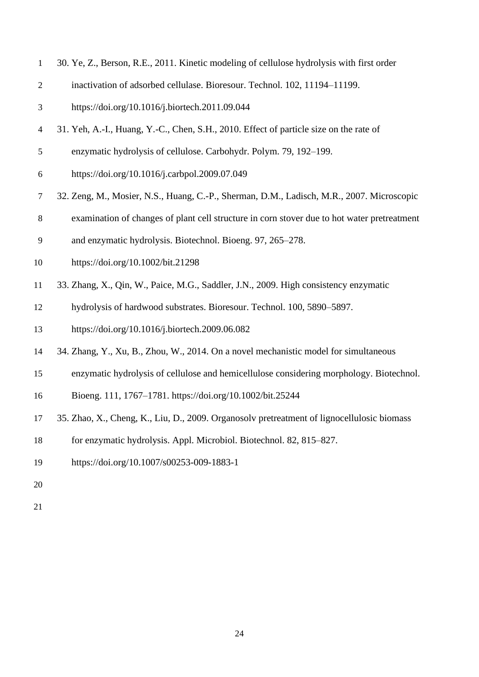| 30. Ye, Z., Berson, R.E., 2011. Kinetic modeling of cellulose hydrolysis with first order |  |  |  |  |
|-------------------------------------------------------------------------------------------|--|--|--|--|
|                                                                                           |  |  |  |  |

- inactivation of adsorbed cellulase. Bioresour. Technol. 102, 11194–11199.
- https://doi.org/10.1016/j.biortech.2011.09.044
- 31. Yeh, A.-I., Huang, Y.-C., Chen, S.H., 2010. Effect of particle size on the rate of
- enzymatic hydrolysis of cellulose. Carbohydr. Polym. 79, 192–199.
- https://doi.org/10.1016/j.carbpol.2009.07.049
- 32. Zeng, M., Mosier, N.S., Huang, C.-P., Sherman, D.M., Ladisch, M.R., 2007. Microscopic
- examination of changes of plant cell structure in corn stover due to hot water pretreatment
- and enzymatic hydrolysis. Biotechnol. Bioeng. 97, 265–278.
- https://doi.org/10.1002/bit.21298
- 33. Zhang, X., Qin, W., Paice, M.G., Saddler, J.N., 2009. High consistency enzymatic
- hydrolysis of hardwood substrates. Bioresour. Technol. 100, 5890–5897.
- https://doi.org/10.1016/j.biortech.2009.06.082
- 34. Zhang, Y., Xu, B., Zhou, W., 2014. On a novel mechanistic model for simultaneous
- enzymatic hydrolysis of cellulose and hemicellulose considering morphology. Biotechnol.
- Bioeng. 111, 1767–1781. https://doi.org/10.1002/bit.25244
- 35. Zhao, X., Cheng, K., Liu, D., 2009. Organosolv pretreatment of lignocellulosic biomass
- for enzymatic hydrolysis. Appl. Microbiol. Biotechnol. 82, 815–827.
- https://doi.org/10.1007/s00253-009-1883-1
- 
-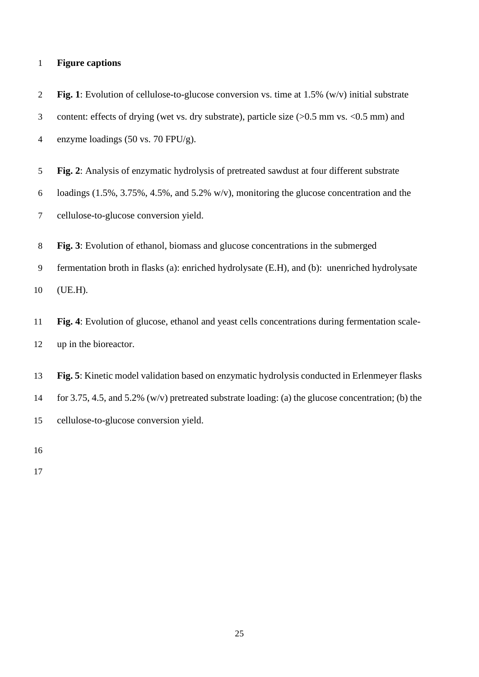#### **Figure captions**

 **Fig. 1**: Evolution of cellulose-to-glucose conversion vs. time at 1.5% (w/v) initial substrate 3 content: effects of drying (wet vs. dry substrate), particle size ( $> 0.5$  mm vs. < 0.5 mm) and enzyme loadings (50 vs. 70 FPU/g).

**Fig. 2**: Analysis of enzymatic hydrolysis of pretreated sawdust at four different substrate

loadings (1.5%, 3.75%, 4.5%, and 5.2% w/v), monitoring the glucose concentration and the

cellulose-to-glucose conversion yield.

**Fig. 3**: Evolution of ethanol, biomass and glucose concentrations in the submerged

 fermentation broth in flasks (a): enriched hydrolysate (E.H), and (b): unenriched hydrolysate (UE.H).

 **Fig. 4**: Evolution of glucose, ethanol and yeast cells concentrations during fermentation scale-up in the bioreactor.

 **Fig. 5**: Kinetic model validation based on enzymatic hydrolysis conducted in Erlenmeyer flasks for 3.75, 4.5, and 5.2% (w/v) pretreated substrate loading: (a) the glucose concentration; (b) the cellulose-to-glucose conversion yield.